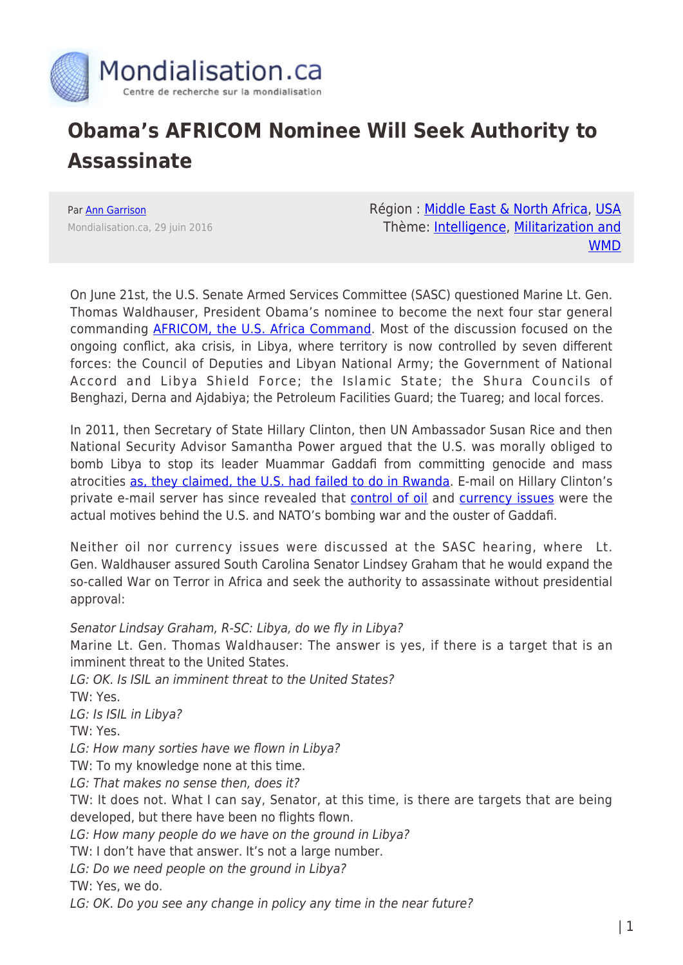

## **Obama's AFRICOM Nominee Will Seek Authority to Assassinate**

Par [Ann Garrison](https://www.mondialisation.ca/author/ann-garrison) Mondialisation.ca, 29 juin 2016 Région : [Middle East & North Africa,](https://www.mondialisation.ca/region/middle-east) [USA](https://www.mondialisation.ca/region/usa) Thème: [Intelligence](https://www.mondialisation.ca/theme/intelligence), [Militarization and](https://www.mondialisation.ca/theme/militarization-and-wmd) [WMD](https://www.mondialisation.ca/theme/militarization-and-wmd)

On June 21st, the U.S. Senate Armed Services Committee (SASC) questioned Marine Lt. Gen. Thomas Waldhauser, President Obama's nominee to become the next four star general commanding **AFRICOM, the U.S. Africa Command**. Most of the discussion focused on the ongoing conflict, aka crisis, in Libya, where territory is now controlled by seven different forces: the Council of Deputies and Libyan National Army; the Government of National Accord and Libya Shield Force; the Islamic State; the Shura Councils of Benghazi, Derna and Ajdabiya; the Petroleum Facilities Guard; the Tuareg; and local forces.

In 2011, then Secretary of State Hillary Clinton, then UN Ambassador Susan Rice and then National Security Advisor Samantha Power argued that the U.S. was morally obliged to bomb Libya to stop its leader Muammar Gaddafi from committing genocide and mass atrocities [as, they claimed, the U.S. had failed to do in Rwanda](http://www.anngarrison.com/audio/susan-rice-in-libya-and-rwanda-for-the-us-r2p). E-mail on Hillary Clinton's private e-mail server has since revealed that [control of oil](http://sfbayview.com/2016/06/clinton-e-mail-on-libyan-conquest-we-came-we-saw-we-got-oil/) and [currency issues](http://sfbayview.com/2016/03/exposing-the-libyan-agenda-a-closer-look-at-hillarys-emails/) were the actual motives behind the U.S. and NATO's bombing war and the ouster of Gaddafi.

Neither oil nor currency issues were discussed at the SASC hearing, where Lt. Gen. Waldhauser assured South Carolina Senator Lindsey Graham that he would expand the so-called War on Terror in Africa and seek the authority to assassinate without presidential approval:

Senator Lindsay Graham, R-SC: Libya, do we fly in Libya? Marine Lt. Gen. Thomas Waldhauser: The answer is yes, if there is a target that is an imminent threat to the United States. LG: OK. Is ISIL an imminent threat to the United States? TW: Yes. LG: Is ISIL in Libya? TW: Yes. LG: How many sorties have we flown in Libya? TW: To my knowledge none at this time. LG: That makes no sense then, does it? TW: It does not. What I can say, Senator, at this time, is there are targets that are being developed, but there have been no flights flown. LG: How many people do we have on the ground in Libya? TW: I don't have that answer. It's not a large number. LG: Do we need people on the ground in Libya? TW: Yes, we do.

LG: OK. Do you see any change in policy any time in the near future?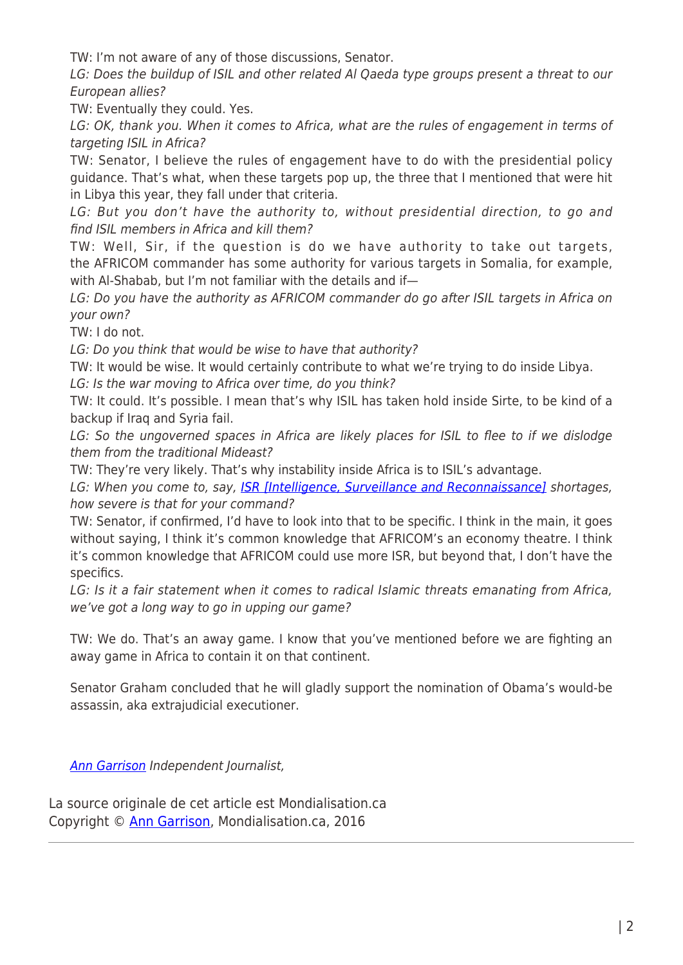TW: I'm not aware of any of those discussions, Senator.

LG: Does the buildup of ISIL and other related Al Qaeda type groups present a threat to our European allies?

TW: Eventually they could. Yes.

LG: OK, thank you. When it comes to Africa, what are the rules of engagement in terms of targeting ISIL in Africa?

TW: Senator, I believe the rules of engagement have to do with the presidential policy guidance. That's what, when these targets pop up, the three that I mentioned that were hit in Libya this year, they fall under that criteria.

LG: But you don't have the authority to, without presidential direction, to go and find ISIL members in Africa and kill them?

TW: Well, Sir, if the question is do we have authority to take out targets, the AFRICOM commander has some authority for various targets in Somalia, for example, with Al-Shabab, but I'm not familiar with the details and if—

LG: Do you have the authority as AFRICOM commander do go after ISIL targets in Africa on your own?

TW: I do not.

LG: Do you think that would be wise to have that authority?

TW: It would be wise. It would certainly contribute to what we're trying to do inside Libya.

LG: Is the war moving to Africa over time, do you think?

TW: It could. It's possible. I mean that's why ISIL has taken hold inside Sirte, to be kind of a backup if Iraq and Syria fail.

LG: So the ungoverned spaces in Africa are likely places for ISIL to flee to if we dislodge them from the traditional Mideast?

TW: They're very likely. That's why instability inside Africa is to ISIL's advantage.

LG: When you come to, say, **ISR [Intelligence, Surveillance and Reconnaissance]** shortages, how severe is that for your command?

TW: Senator, if confirmed, I'd have to look into that to be specific. I think in the main, it goes without saying, I think it's common knowledge that AFRICOM's an economy theatre. I think it's common knowledge that AFRICOM could use more ISR, but beyond that, I don't have the specifics.

LG: Is it a fair statement when it comes to radical Islamic threats emanating from Africa, we've got a long way to go in upping our game?

TW: We do. That's an away game. I know that you've mentioned before we are fighting an away game in Africa to contain it on that continent.

Senator Graham concluded that he will gladly support the nomination of Obama's would-be assassin, aka extrajudicial executioner.

[Ann Garrison](http://www.anngarrison.com/) Independent Journalist,

La source originale de cet article est Mondialisation.ca Copyright © [Ann Garrison](https://www.mondialisation.ca/author/ann-garrison), Mondialisation.ca, 2016